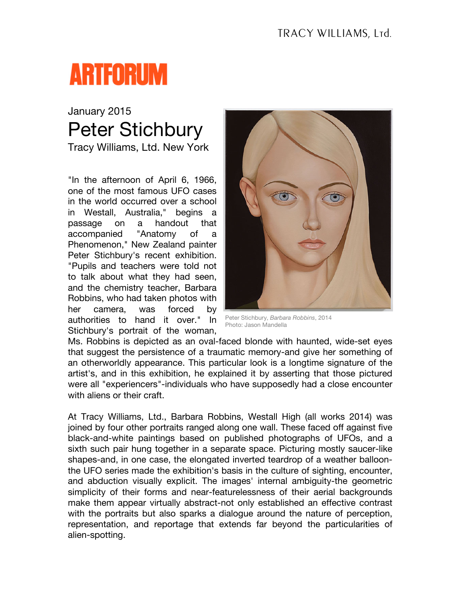## **ARTFORUM**

## January 2015 Peter Stichbury Tracy Williams, Ltd. New York

"In the afternoon of April 6, 1966, one of the most famous UFO cases in the world occurred over a school in Westall, Australia," begins a passage on a handout that accompanied "Anatomy of a Phenomenon," New Zealand painter Peter Stichbury's recent exhibition. "Pupils and teachers were told not to talk about what they had seen, and the chemistry teacher, Barbara Robbins, who had taken photos with her camera, was forced by authorities to hand it over." In Stichbury's portrait of the woman,



Peter Stichbury, *Barbara Robbins*, 2014 Photo: Jason Mandella

Ms. Robbins is depicted as an oval-faced blonde with haunted, wide-set eyes that suggest the persistence of a traumatic memory-and give her something of an otherworldly appearance. This particular look is a longtime signature of the artist's, and in this exhibition, he explained it by asserting that those pictured were all "experiencers"-individuals who have supposedly had a close encounter with aliens or their craft.

At Tracy Williams, Ltd., Barbara Robbins, Westall High (all works 2014) was joined by four other portraits ranged along one wall. These faced off against five black-and-white paintings based on published photographs of UFOs, and a sixth such pair hung together in a separate space. Picturing mostly saucer-like shapes-and, in one case, the elongated inverted teardrop of a weather balloonthe UFO series made the exhibition's basis in the culture of sighting, encounter, and abduction visually explicit. The images' internal ambiguity-the geometric simplicity of their forms and near-featurelessness of their aerial backgrounds make them appear virtually abstract-not only established an effective contrast with the portraits but also sparks a dialogue around the nature of perception, representation, and reportage that extends far beyond the particularities of alien-spotting.